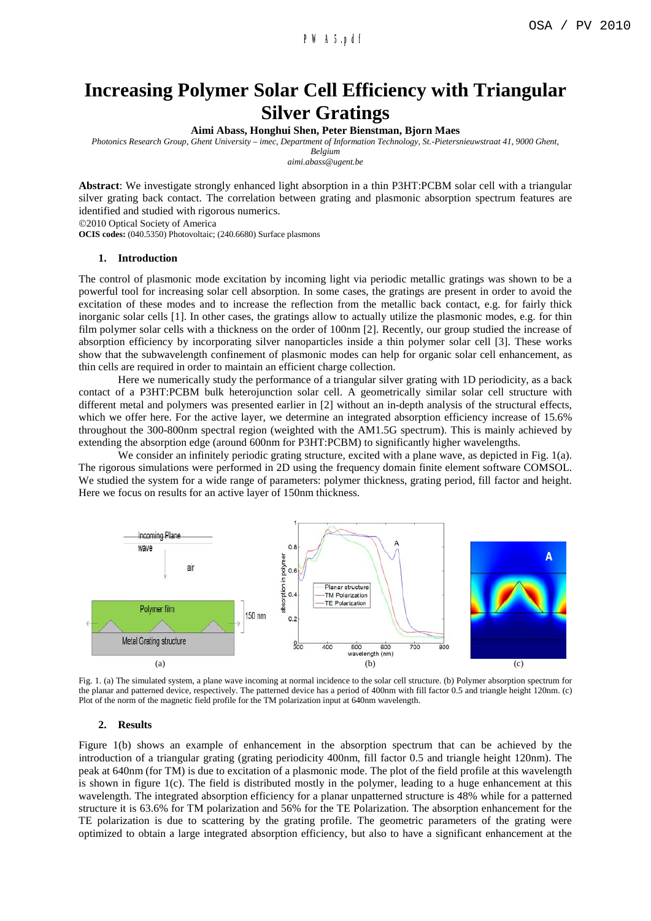# **Increasing Polymer Solar Cell Efficiency with Triangular Silver Gratings**

**Aimi Abass, Honghui Shen, Peter Bienstman, Bjorn Maes**

*Photonics Research Group, Ghent University – imec, Department of Information Technology, St.-Pietersnieuwstraat 41, 9000 Ghent,* 

*Belgium aimi.abass@ugent.be*

**Abstract**: We investigate strongly enhanced light absorption in a thin P3HT:PCBM solar cell with a triangular silver grating back contact. The correlation between grating and plasmonic absorption spectrum features are identified and studied with rigorous numerics.

©2010 Optical Society of America

**OCIS codes:** (040.5350) Photovoltaic; (240.6680) Surface plasmons

### **1. Introduction**

The control of plasmonic mode excitation by incoming light via periodic metallic gratings was shown to be a powerful tool for increasing solar cell absorption. In some cases, the gratings are present in order to avoid the excitation of these modes and to increase the reflection from the metallic back contact, e.g. for fairly thick inorganic solar cells [1]. In other cases, the gratings allow to actually utilize the plasmonic modes, e.g. for thin film polymer solar cells with a thickness on the order of 100nm [2]. Recently, our group studied the increase of absorption efficiency by incorporating silver nanoparticles inside a thin polymer solar cell [3]. These works show that the subwavelength confinement of plasmonic modes can help for organic solar cell enhancement, as thin cells are required in order to maintain an efficient charge collection.

Here we numerically study the performance of a triangular silver grating with 1D periodicity, as a back contact of a P3HT:PCBM bulk heterojunction solar cell. A geometrically similar solar cell structure with different metal and polymers was presented earlier in [2] without an in-depth analysis of the structural effects, which we offer here. For the active layer, we determine an integrated absorption efficiency increase of 15.6% throughout the 300-800nm spectral region (weighted with the AM1.5G spectrum). This is mainly achieved by extending the absorption edge (around 600nm for P3HT:PCBM) to significantly higher wavelengths.

We consider an infinitely periodic grating structure, excited with a plane wave, as depicted in Fig. 1(a). The rigorous simulations were performed in 2D using the frequency domain finite element software COMSOL. We studied the system for a wide range of parameters: polymer thickness, grating period, fill factor and height. Here we focus on results for an active layer of 150nm thickness.



Fig. 1. (a) The simulated system, a plane wave incoming at normal incidence to the solar cell structure. (b) Polymer absorption spectrum for the planar and patterned device, respectively. The patterned device has a period of 400nm with fill factor 0.5 and triangle height 120nm. (c) Plot of the norm of the magnetic field profile for the TM polarization input at 640nm wavelength.

## **2. Results**

Figure 1(b) shows an example of enhancement in the absorption spectrum that can be achieved by the introduction of a triangular grating (grating periodicity 400nm, fill factor 0.5 and triangle height 120nm). The peak at 640nm (for TM) is due to excitation of a plasmonic mode. The plot of the field profile at this wavelength is shown in figure 1(c). The field is distributed mostly in the polymer, leading to a huge enhancement at this wavelength. The integrated absorption efficiency for a planar unpatterned structure is 48% while for a patterned structure it is 63.6% for TM polarization and 56% for the TE Polarization. The absorption enhancement for the TE polarization is due to scattering by the grating profile. The geometric parameters of the grating were optimized to obtain a large integrated absorption efficiency, but also to have a significant enhancement at the